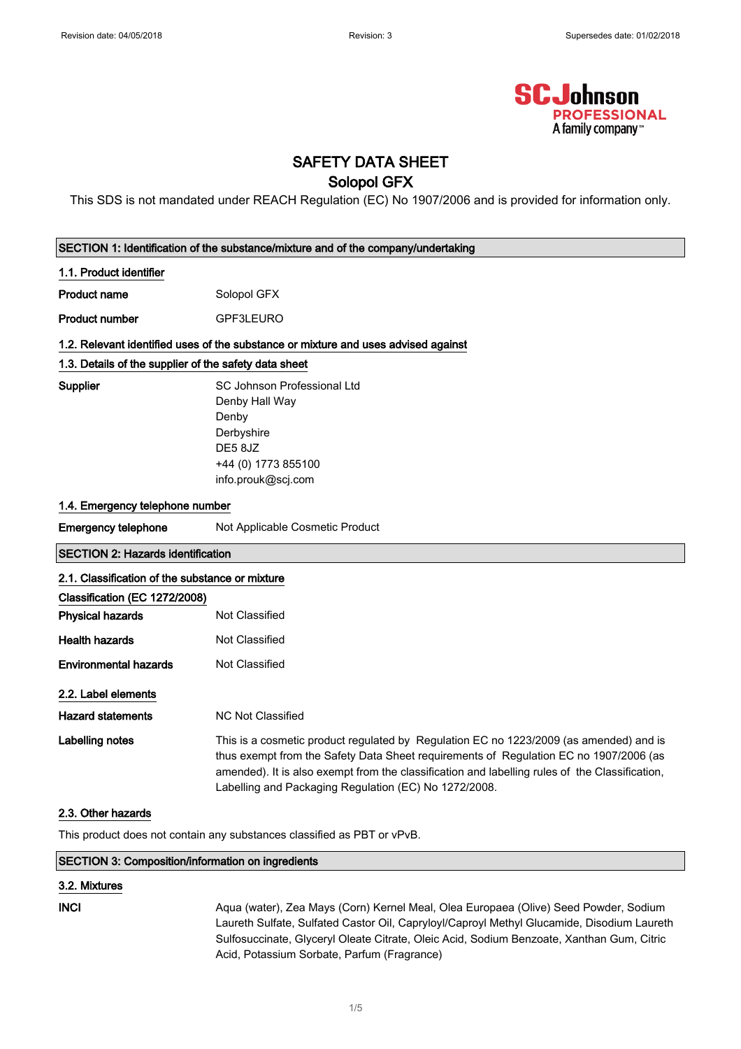

## SAFETY DATA SHEET

### Solopol GFX

This SDS is not mandated under REACH Regulation (EC) No 1907/2006 and is provided for information only.

| SECTION 1: Identification of the substance/mixture and of the company/undertaking |                                                                                                                                                                                                                                                                                                                                            |  |
|-----------------------------------------------------------------------------------|--------------------------------------------------------------------------------------------------------------------------------------------------------------------------------------------------------------------------------------------------------------------------------------------------------------------------------------------|--|
| 1.1. Product identifier                                                           |                                                                                                                                                                                                                                                                                                                                            |  |
| <b>Product name</b>                                                               | Solopol GFX                                                                                                                                                                                                                                                                                                                                |  |
| <b>Product number</b>                                                             | GPF3LEURO                                                                                                                                                                                                                                                                                                                                  |  |
|                                                                                   | 1.2. Relevant identified uses of the substance or mixture and uses advised against                                                                                                                                                                                                                                                         |  |
| 1.3. Details of the supplier of the safety data sheet                             |                                                                                                                                                                                                                                                                                                                                            |  |
| Supplier                                                                          | SC Johnson Professional Ltd<br>Denby Hall Way<br>Denby<br>Derbyshire<br>DE5 8JZ<br>+44 (0) 1773 855100<br>info.prouk@scj.com                                                                                                                                                                                                               |  |
| 1.4. Emergency telephone number                                                   |                                                                                                                                                                                                                                                                                                                                            |  |
| <b>Emergency telephone</b>                                                        | Not Applicable Cosmetic Product                                                                                                                                                                                                                                                                                                            |  |
| <b>SECTION 2: Hazards identification</b>                                          |                                                                                                                                                                                                                                                                                                                                            |  |
| 2.1. Classification of the substance or mixture                                   |                                                                                                                                                                                                                                                                                                                                            |  |
| Classification (EC 1272/2008)                                                     |                                                                                                                                                                                                                                                                                                                                            |  |
| <b>Physical hazards</b>                                                           | Not Classified                                                                                                                                                                                                                                                                                                                             |  |
| <b>Health hazards</b>                                                             | Not Classified                                                                                                                                                                                                                                                                                                                             |  |
| <b>Environmental hazards</b>                                                      | Not Classified                                                                                                                                                                                                                                                                                                                             |  |
| 2.2. Label elements                                                               |                                                                                                                                                                                                                                                                                                                                            |  |
| <b>Hazard statements</b>                                                          | <b>NC Not Classified</b>                                                                                                                                                                                                                                                                                                                   |  |
| Labelling notes                                                                   | This is a cosmetic product regulated by Regulation EC no 1223/2009 (as amended) and is<br>thus exempt from the Safety Data Sheet requirements of Regulation EC no 1907/2006 (as<br>amended). It is also exempt from the classification and labelling rules of the Classification,<br>Labelling and Packaging Regulation (EC) No 1272/2008. |  |
| 2.3. Other hazards                                                                |                                                                                                                                                                                                                                                                                                                                            |  |
|                                                                                   |                                                                                                                                                                                                                                                                                                                                            |  |

This product does not contain any substances classified as PBT or vPvB.

| SECTION 3: Composition/information on ingredients |                                                                                      |
|---------------------------------------------------|--------------------------------------------------------------------------------------|
| 3.2. Mixtures                                     |                                                                                      |
| INCI                                              | Agua (water), Zea Mays (Corn) Kernel Meal, Olea Europaea (Olive) Seed Powder, Sodium |

Laureth Sulfate, Sulfated Castor Oil, Capryloyl/Caproyl Methyl Glucamide, Disodium Laureth Sulfosuccinate, Glyceryl Oleate Citrate, Oleic Acid, Sodium Benzoate, Xanthan Gum, Citric Acid, Potassium Sorbate, Parfum (Fragrance)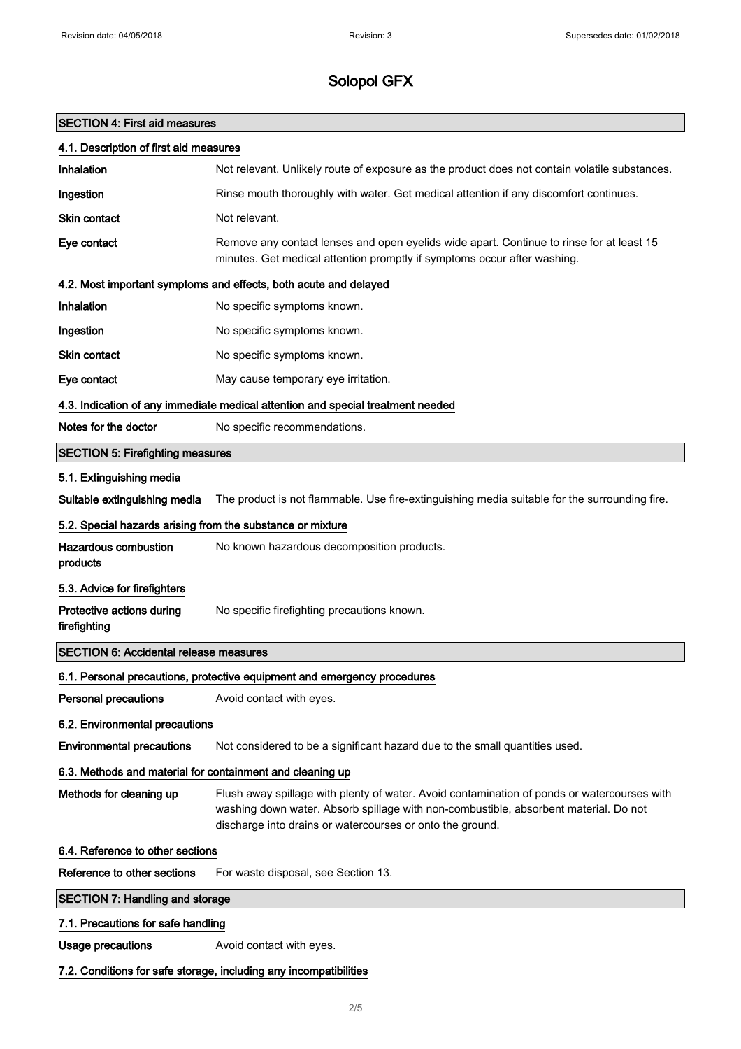## SECTION 4: First aid measures

| 4.1. Description of first aid measures                            |                                                                                                                                                                                                                                                  |  |
|-------------------------------------------------------------------|--------------------------------------------------------------------------------------------------------------------------------------------------------------------------------------------------------------------------------------------------|--|
| <b>Inhalation</b>                                                 | Not relevant. Unlikely route of exposure as the product does not contain volatile substances.                                                                                                                                                    |  |
| Ingestion                                                         | Rinse mouth thoroughly with water. Get medical attention if any discomfort continues.                                                                                                                                                            |  |
| Skin contact                                                      | Not relevant.                                                                                                                                                                                                                                    |  |
| Eye contact                                                       | Remove any contact lenses and open eyelids wide apart. Continue to rinse for at least 15<br>minutes. Get medical attention promptly if symptoms occur after washing.                                                                             |  |
|                                                                   | 4.2. Most important symptoms and effects, both acute and delayed                                                                                                                                                                                 |  |
| <b>Inhalation</b>                                                 | No specific symptoms known.                                                                                                                                                                                                                      |  |
| Ingestion                                                         | No specific symptoms known.                                                                                                                                                                                                                      |  |
| Skin contact                                                      | No specific symptoms known.                                                                                                                                                                                                                      |  |
| Eye contact                                                       | May cause temporary eye irritation.                                                                                                                                                                                                              |  |
|                                                                   | 4.3. Indication of any immediate medical attention and special treatment needed                                                                                                                                                                  |  |
| Notes for the doctor                                              | No specific recommendations.                                                                                                                                                                                                                     |  |
| <b>SECTION 5: Firefighting measures</b>                           |                                                                                                                                                                                                                                                  |  |
| 5.1. Extinguishing media                                          |                                                                                                                                                                                                                                                  |  |
| Suitable extinguishing media                                      | The product is not flammable. Use fire-extinguishing media suitable for the surrounding fire.                                                                                                                                                    |  |
| 5.2. Special hazards arising from the substance or mixture        |                                                                                                                                                                                                                                                  |  |
| <b>Hazardous combustion</b><br>products                           | No known hazardous decomposition products.                                                                                                                                                                                                       |  |
| 5.3. Advice for firefighters                                      |                                                                                                                                                                                                                                                  |  |
| Protective actions during<br>firefighting                         | No specific firefighting precautions known.                                                                                                                                                                                                      |  |
| <b>SECTION 6: Accidental release measures</b>                     |                                                                                                                                                                                                                                                  |  |
|                                                                   | 6.1. Personal precautions, protective equipment and emergency procedures                                                                                                                                                                         |  |
| Personal precautions                                              | Avoid contact with eyes.                                                                                                                                                                                                                         |  |
| 6.2. Environmental precautions                                    |                                                                                                                                                                                                                                                  |  |
| <b>Environmental precautions</b>                                  | Not considered to be a significant hazard due to the small quantities used.                                                                                                                                                                      |  |
| 6.3. Methods and material for containment and cleaning up         |                                                                                                                                                                                                                                                  |  |
| Methods for cleaning up                                           | Flush away spillage with plenty of water. Avoid contamination of ponds or watercourses with<br>washing down water. Absorb spillage with non-combustible, absorbent material. Do not<br>discharge into drains or watercourses or onto the ground. |  |
| 6.4. Reference to other sections                                  |                                                                                                                                                                                                                                                  |  |
| Reference to other sections                                       | For waste disposal, see Section 13.                                                                                                                                                                                                              |  |
| <b>SECTION 7: Handling and storage</b>                            |                                                                                                                                                                                                                                                  |  |
| 7.1. Precautions for safe handling                                |                                                                                                                                                                                                                                                  |  |
| <b>Usage precautions</b>                                          | Avoid contact with eyes.                                                                                                                                                                                                                         |  |
| 7.2. Conditions for safe storage, including any incompatibilities |                                                                                                                                                                                                                                                  |  |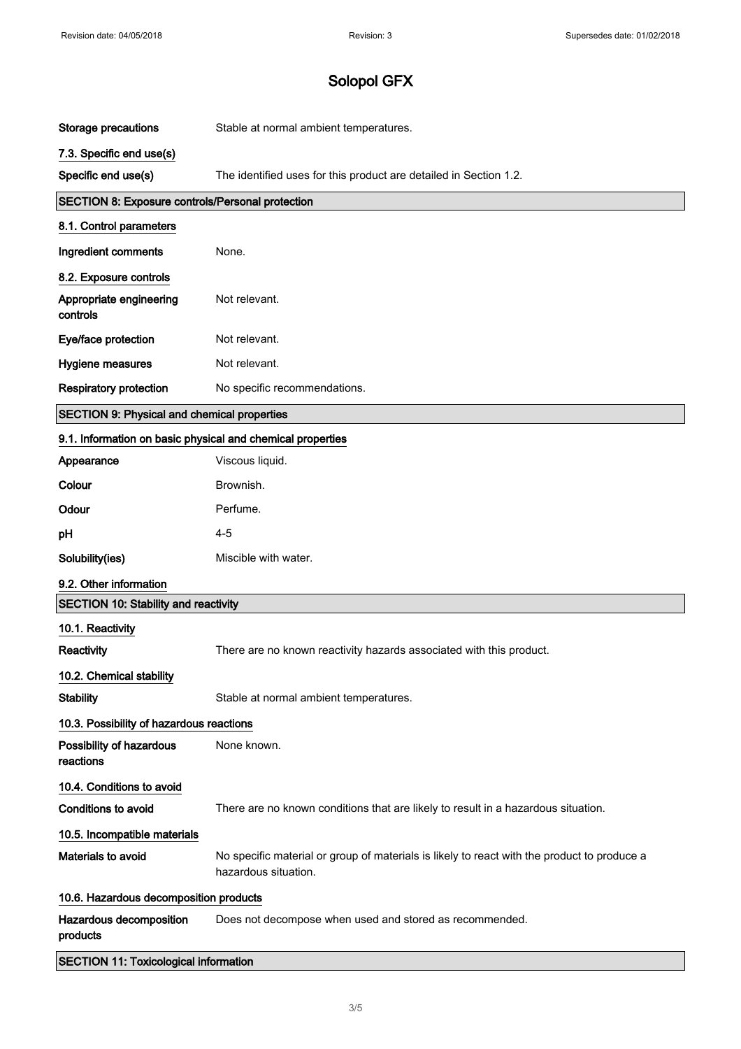| Storage precautions                                        | Stable at normal ambient temperatures.                                                                              |  |
|------------------------------------------------------------|---------------------------------------------------------------------------------------------------------------------|--|
| 7.3. Specific end use(s)                                   |                                                                                                                     |  |
| Specific end use(s)                                        | The identified uses for this product are detailed in Section 1.2.                                                   |  |
| SECTION 8: Exposure controls/Personal protection           |                                                                                                                     |  |
| 8.1. Control parameters                                    |                                                                                                                     |  |
| Ingredient comments                                        | None.                                                                                                               |  |
| 8.2. Exposure controls                                     |                                                                                                                     |  |
| Appropriate engineering<br>controls                        | Not relevant.                                                                                                       |  |
| Eye/face protection                                        | Not relevant.                                                                                                       |  |
| Hygiene measures                                           | Not relevant.                                                                                                       |  |
| <b>Respiratory protection</b>                              | No specific recommendations.                                                                                        |  |
| <b>SECTION 9: Physical and chemical properties</b>         |                                                                                                                     |  |
| 9.1. Information on basic physical and chemical properties |                                                                                                                     |  |
| Appearance                                                 | Viscous liquid.                                                                                                     |  |
| Colour                                                     | Brownish.                                                                                                           |  |
| Odour                                                      | Perfume.                                                                                                            |  |
| pH                                                         | $4 - 5$                                                                                                             |  |
| Solubility(ies)                                            | Miscible with water.                                                                                                |  |
| 9.2. Other information                                     |                                                                                                                     |  |
| <b>SECTION 10: Stability and reactivity</b>                |                                                                                                                     |  |
| 10.1. Reactivity                                           |                                                                                                                     |  |
| Reactivity                                                 | There are no known reactivity hazards associated with this product.                                                 |  |
| 10.2. Chemical stability                                   |                                                                                                                     |  |
| <b>Stability</b>                                           | Stable at normal ambient temperatures.                                                                              |  |
| 10.3. Possibility of hazardous reactions                   |                                                                                                                     |  |
| Possibility of hazardous<br>reactions                      | None known.                                                                                                         |  |
| 10.4. Conditions to avoid                                  |                                                                                                                     |  |
| <b>Conditions to avoid</b>                                 | There are no known conditions that are likely to result in a hazardous situation.                                   |  |
| 10.5. Incompatible materials                               |                                                                                                                     |  |
| Materials to avoid                                         | No specific material or group of materials is likely to react with the product to produce a<br>hazardous situation. |  |
| 10.6. Hazardous decomposition products                     |                                                                                                                     |  |
| Hazardous decomposition<br>products                        | Does not decompose when used and stored as recommended.                                                             |  |
| <b>SECTION 11: Toxicological information</b>               |                                                                                                                     |  |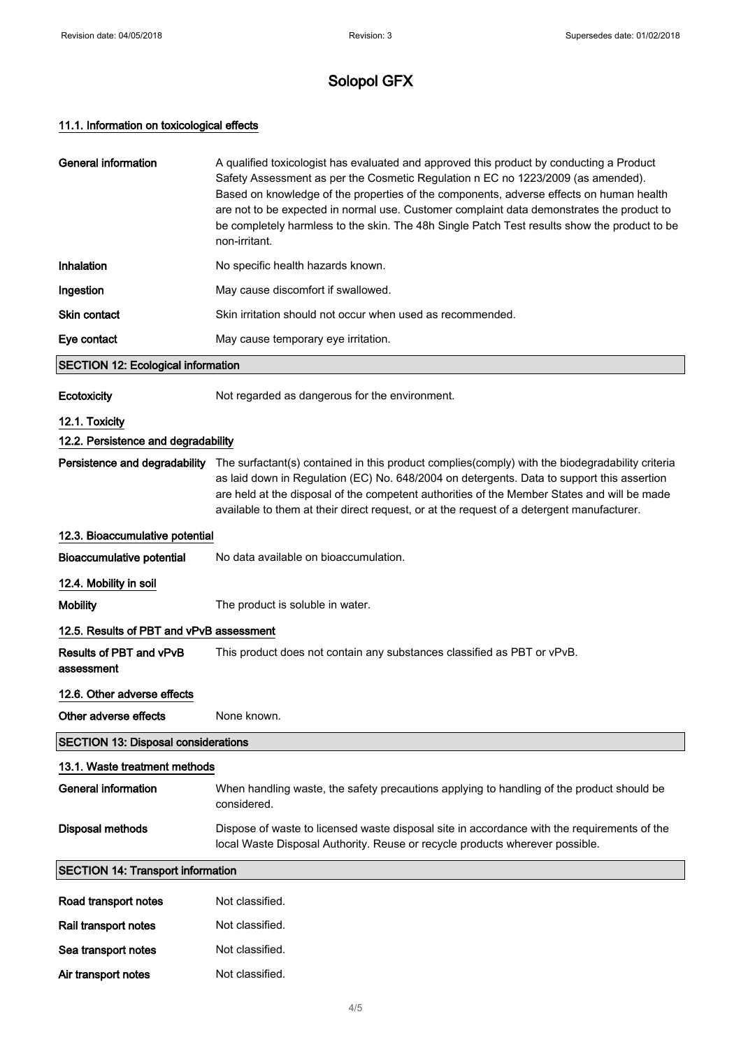### 11.1. Information on toxicological effects

Air transport notes Not classified.

| <b>General information</b>                 | A qualified toxicologist has evaluated and approved this product by conducting a Product<br>Safety Assessment as per the Cosmetic Regulation n EC no 1223/2009 (as amended).<br>Based on knowledge of the properties of the components, adverse effects on human health<br>are not to be expected in normal use. Customer complaint data demonstrates the product to<br>be completely harmless to the skin. The 48h Single Patch Test results show the product to be<br>non-irritant. |  |
|--------------------------------------------|---------------------------------------------------------------------------------------------------------------------------------------------------------------------------------------------------------------------------------------------------------------------------------------------------------------------------------------------------------------------------------------------------------------------------------------------------------------------------------------|--|
| Inhalation                                 | No specific health hazards known.                                                                                                                                                                                                                                                                                                                                                                                                                                                     |  |
| Ingestion                                  | May cause discomfort if swallowed.                                                                                                                                                                                                                                                                                                                                                                                                                                                    |  |
| Skin contact                               | Skin irritation should not occur when used as recommended.                                                                                                                                                                                                                                                                                                                                                                                                                            |  |
| Eye contact                                | May cause temporary eye irritation.                                                                                                                                                                                                                                                                                                                                                                                                                                                   |  |
| <b>SECTION 12: Ecological information</b>  |                                                                                                                                                                                                                                                                                                                                                                                                                                                                                       |  |
| Ecotoxicity                                | Not regarded as dangerous for the environment.                                                                                                                                                                                                                                                                                                                                                                                                                                        |  |
| 12.1. Toxicity                             |                                                                                                                                                                                                                                                                                                                                                                                                                                                                                       |  |
| 12.2. Persistence and degradability        |                                                                                                                                                                                                                                                                                                                                                                                                                                                                                       |  |
| Persistence and degradability              | The surfactant(s) contained in this product complies(comply) with the biodegradability criteria<br>as laid down in Regulation (EC) No. 648/2004 on detergents. Data to support this assertion<br>are held at the disposal of the competent authorities of the Member States and will be made<br>available to them at their direct request, or at the request of a detergent manufacturer.                                                                                             |  |
| 12.3. Bioaccumulative potential            |                                                                                                                                                                                                                                                                                                                                                                                                                                                                                       |  |
| <b>Bioaccumulative potential</b>           | No data available on bioaccumulation.                                                                                                                                                                                                                                                                                                                                                                                                                                                 |  |
| 12.4. Mobility in soil                     |                                                                                                                                                                                                                                                                                                                                                                                                                                                                                       |  |
| <b>Mobility</b>                            | The product is soluble in water.                                                                                                                                                                                                                                                                                                                                                                                                                                                      |  |
| 12.5. Results of PBT and vPvB assessment   |                                                                                                                                                                                                                                                                                                                                                                                                                                                                                       |  |
| Results of PBT and vPvB<br>assessment      | This product does not contain any substances classified as PBT or vPvB.                                                                                                                                                                                                                                                                                                                                                                                                               |  |
| 12.6. Other adverse effects                |                                                                                                                                                                                                                                                                                                                                                                                                                                                                                       |  |
| Other adverse effects                      | None known.                                                                                                                                                                                                                                                                                                                                                                                                                                                                           |  |
| <b>SECTION 13: Disposal considerations</b> |                                                                                                                                                                                                                                                                                                                                                                                                                                                                                       |  |
| 13.1. Waste treatment methods              |                                                                                                                                                                                                                                                                                                                                                                                                                                                                                       |  |
| General information                        | When handling waste, the safety precautions applying to handling of the product should be<br>considered.                                                                                                                                                                                                                                                                                                                                                                              |  |
| <b>Disposal methods</b>                    | Dispose of waste to licensed waste disposal site in accordance with the requirements of the<br>local Waste Disposal Authority. Reuse or recycle products wherever possible.                                                                                                                                                                                                                                                                                                           |  |
| <b>SECTION 14: Transport information</b>   |                                                                                                                                                                                                                                                                                                                                                                                                                                                                                       |  |
| Road transport notes                       | Not classified.                                                                                                                                                                                                                                                                                                                                                                                                                                                                       |  |
| Rail transport notes                       | Not classified.                                                                                                                                                                                                                                                                                                                                                                                                                                                                       |  |
| Sea transport notes                        | Not classified.                                                                                                                                                                                                                                                                                                                                                                                                                                                                       |  |